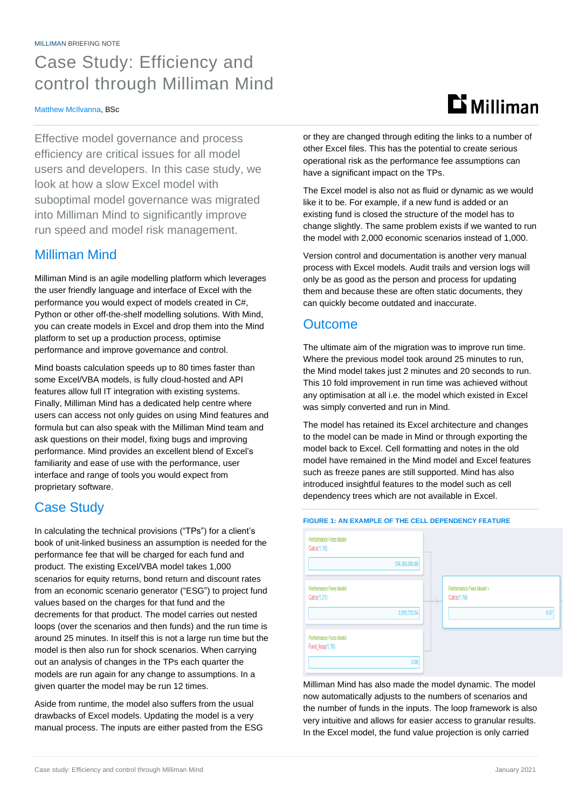## Case Study: Efficiency and control through Milliman Mind

### Matthew McIlvanna, BSc

Effective model governance and process efficiency are critical issues for all model users and developers. In this case study, we look at how a slow Excel model with suboptimal model governance was migrated into Milliman Mind to significantly improve run speed and model risk management.

## Milliman Mind

Milliman Mind is an agile modelling platform which leverages the user friendly language and interface of Excel with the performance you would expect of models created in C#, Python or other off-the-shelf modelling solutions. With Mind, you can create models in Excel and drop them into the Mind platform to set up a production process, optimise performance and improve governance and control.

Mind boasts calculation speeds up to 80 times faster than some Excel/VBA models, is fully cloud-hosted and API features allow full IT integration with existing systems. Finally, Milliman Mind has a dedicated help centre where users can access not only guides on using Mind features and formula but can also speak with the Milliman Mind team and ask questions on their model, fixing bugs and improving performance. Mind provides an excellent blend of Excel's familiarity and ease of use with the performance, user interface and range of tools you would expect from proprietary software.

## Case Study

In calculating the technical provisions ("TPs") for a client's book of unit-linked business an assumption is needed for the performance fee that will be charged for each fund and product. The existing Excel/VBA model takes 1,000 scenarios for equity returns, bond return and discount rates from an economic scenario generator ("ESG") to project fund values based on the charges for that fund and the decrements for that product. The model carries out nested loops (over the scenarios and then funds) and the run time is around 25 minutes. In itself this is not a large run time but the model is then also run for shock scenarios. When carrying out an analysis of changes in the TPs each quarter the models are run again for any change to assumptions. In a given quarter the model may be run 12 times.

Aside from runtime, the model also suffers from the usual drawbacks of Excel models. Updating the model is a very manual process. The inputs are either pasted from the ESG **Li** Milliman

or they are changed through editing the links to a number of other Excel files. This has the potential to create serious operational risk as the performance fee assumptions can have a significant impact on the TPs.

The Excel model is also not as fluid or dynamic as we would like it to be. For example, if a new fund is added or an existing fund is closed the structure of the model has to change slightly. The same problem exists if we wanted to run the model with 2,000 economic scenarios instead of 1,000.

Version control and documentation is another very manual process with Excel models. Audit trails and version logs will only be as good as the person and process for updating them and because these are often static documents, they can quickly become outdated and inaccurate.

## **Outcome**

The ultimate aim of the migration was to improve run time. Where the previous model took around 25 minutes to run, the Mind model takes just 2 minutes and 20 seconds to run. This 10 fold improvement in run time was achieved without any optimisation at all i.e. the model which existed in Excel was simply converted and run in Mind.

The model has retained its Excel architecture and changes to the model can be made in Mind or through exporting the model back to Excel. Cell formatting and notes in the old model have remained in the Mind model and Excel features such as freeze panes are still supported. Mind has also introduced insightful features to the model such as cell dependency trees which are not available in Excel.

| Calcs(1,18)                                      | 134,265,095.88 |                                         |      |
|--------------------------------------------------|----------------|-----------------------------------------|------|
| <b>Performance Fees Model</b><br>Calcs(1,21)     | 2,053,732.04   | Performance Fees Model ><br>Calcs(1,19) | 0.07 |
| <b>Performance Fees Model</b><br>Fund_loop(1,18) |                |                                         |      |

Milliman Mind has also made the model dynamic. The model now automatically adjusts to the numbers of scenarios and the number of funds in the inputs. The loop framework is also very intuitive and allows for easier access to granular results. In the Excel model, the fund value projection is only carried

### **FIGURE 1: AN EXAMPLE OF THE CELL DEPENDENCY FEATURE**